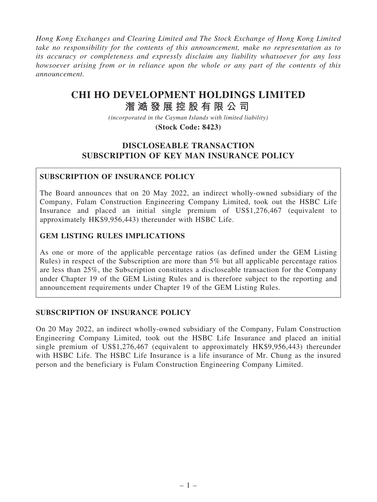Hong Kong Exchanges and Clearing Limited and The Stock Exchange of Hong Kong Limited take no responsibility for the contents of this announcement, make no representation as to its accuracy or completeness and expressly disclaim any liability whatsoever for any loss howsoever arising from or in reliance upon the whole or any part of the contents of this announcement.

# **CHI HO DEVELOPMENT HOLDINGS LIMITED**

# **潪 㵆 發 展 控 股 有 限 公 司**

*(incorporated in the Cayman Islands with limited liability)*

#### **(Stock Code: 8423)**

### DISCLOSEABLE TRANSACTION SUBSCRIPTION OF KEY MAN INSURANCE POLICY

#### SUBSCRIPTION OF INSURANCE POLICY

The Board announces that on 20 May 2022, an indirect wholly-owned subsidiary of the Company, Fulam Construction Engineering Company Limited, took out the HSBC Life Insurance and placed an initial single premium of US\$1,276,467 (equivalent to approximately HK\$9,956,443) thereunder with HSBC Life.

#### GEM LISTING RULES IMPLICATIONS

As one or more of the applicable percentage ratios (as defined under the GEM Listing Rules) in respect of the Subscription are more than 5% but all applicable percentage ratios are less than 25%, the Subscription constitutes a discloseable transaction for the Company under Chapter 19 of the GEM Listing Rules and is therefore subject to the reporting and announcement requirements under Chapter 19 of the GEM Listing Rules.

#### SUBSCRIPTION OF INSURANCE POLICY

On 20 May 2022, an indirect wholly-owned subsidiary of the Company, Fulam Construction Engineering Company Limited, took out the HSBC Life Insurance and placed an initial single premium of US\$1,276,467 (equivalent to approximately HK\$9,956,443) thereunder with HSBC Life. The HSBC Life Insurance is a life insurance of Mr. Chung as the insured person and the beneficiary is Fulam Construction Engineering Company Limited.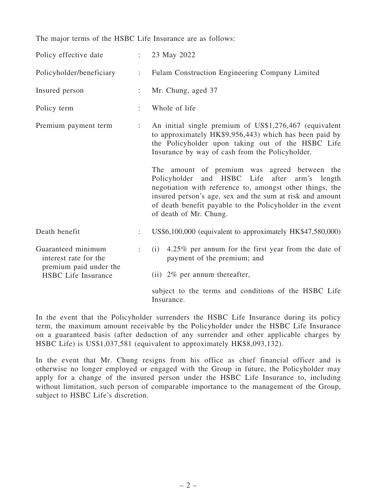The major terms of the HSBC Life Insurance are as follows:

| Policy effective date                                                                               |                      | $\therefore$ 23 May 2022                                                                                                                                                                                                                                                                                        |
|-----------------------------------------------------------------------------------------------------|----------------------|-----------------------------------------------------------------------------------------------------------------------------------------------------------------------------------------------------------------------------------------------------------------------------------------------------------------|
| Policyholder/beneficiary                                                                            | $\ddot{\Sigma}$      | Fulam Construction Engineering Company Limited                                                                                                                                                                                                                                                                  |
| Insured person                                                                                      | ÷                    | Mr. Chung, aged 37                                                                                                                                                                                                                                                                                              |
| Policy term                                                                                         | $\ddot{\phantom{a}}$ | Whole of life                                                                                                                                                                                                                                                                                                   |
| Premium payment term                                                                                | ÷                    | An initial single premium of US\$1,276,467 (equivalent<br>to approximately HK\$9,956,443) which has been paid by<br>the Policyholder upon taking out of the HSBC Life<br>Insurance by way of cash from the Policyholder.                                                                                        |
|                                                                                                     |                      | The amount of premium was agreed between the<br>Policyholder and HSBC Life<br>after arm's length<br>negotiation with reference to, amongst other things, the<br>insured person's age, sex and the sum at risk and amount<br>of death benefit payable to the Policyholder in the event<br>of death of Mr. Chung. |
| Death benefit                                                                                       | $\ddot{\phantom{a}}$ | US\$6,100,000 (equivalent to approximately HK\$47,580,000)                                                                                                                                                                                                                                                      |
| Guaranteed minimum<br>interest rate for the<br>premium paid under the<br><b>HSBC</b> Life Insurance |                      | 4.25% per annum for the first year from the date of<br>(i)<br>payment of the premium; and                                                                                                                                                                                                                       |
|                                                                                                     |                      | (ii) $2\%$ per annum thereafter,                                                                                                                                                                                                                                                                                |
|                                                                                                     |                      | subject to the terms and conditions of the HSBC Life<br>Insurance.                                                                                                                                                                                                                                              |

In the event that the Policyholder surrenders the HSBC Life Insurance during its policy term, the maximum amount receivable by the Policyholder under the HSBC Life Insurance on a guaranteed basis (after deduction of any surrender and other applicable charges by HSBC Life) is US\$1,037,581 (equivalent to approximately HK\$8,093,132).

In the event that Mr. Chung resigns from his office as chief financial officer and is otherwise no longer employed or engaged with the Group in future, the Policyholder may apply for a change of the insured person under the HSBC Life Insurance to, including without limitation, such person of comparable importance to the management of the Group, subject to HSBC Life's discretion.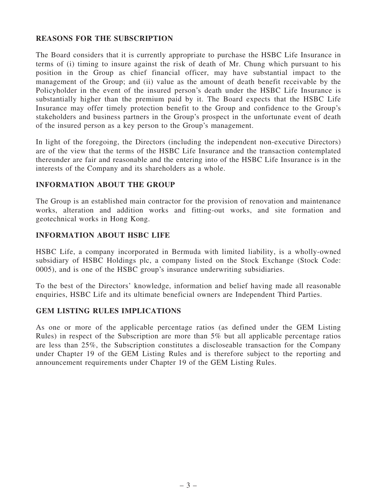#### REASONS FOR THE SUBSCRIPTION

The Board considers that it is currently appropriate to purchase the HSBC Life Insurance in terms of (i) timing to insure against the risk of death of Mr. Chung which pursuant to his position in the Group as chief financial officer, may have substantial impact to the management of the Group; and (ii) value as the amount of death benefit receivable by the Policyholder in the event of the insured person's death under the HSBC Life Insurance is substantially higher than the premium paid by it. The Board expects that the HSBC Life Insurance may offer timely protection benefit to the Group and confidence to the Group's stakeholders and business partners in the Group's prospect in the unfortunate event of death of the insured person as a key person to the Group's management.

In light of the foregoing, the Directors (including the independent non-executive Directors) are of the view that the terms of the HSBC Life Insurance and the transaction contemplated thereunder are fair and reasonable and the entering into of the HSBC Life Insurance is in the interests of the Company and its shareholders as a whole.

#### INFORMATION ABOUT THE GROUP

The Group is an established main contractor for the provision of renovation and maintenance works, alteration and addition works and fitting-out works, and site formation and geotechnical works in Hong Kong.

#### INFORMATION ABOUT HSBC LIFE

HSBC Life, a company incorporated in Bermuda with limited liability, is a wholly-owned subsidiary of HSBC Holdings plc, a company listed on the Stock Exchange (Stock Code: 0005), and is one of the HSBC group's insurance underwriting subsidiaries.

To the best of the Directors' knowledge, information and belief having made all reasonable enquiries, HSBC Life and its ultimate beneficial owners are Independent Third Parties.

#### GEM LISTING RULES IMPLICATIONS

As one or more of the applicable percentage ratios (as defined under the GEM Listing Rules) in respect of the Subscription are more than 5% but all applicable percentage ratios are less than 25%, the Subscription constitutes a discloseable transaction for the Company under Chapter 19 of the GEM Listing Rules and is therefore subject to the reporting and announcement requirements under Chapter 19 of the GEM Listing Rules.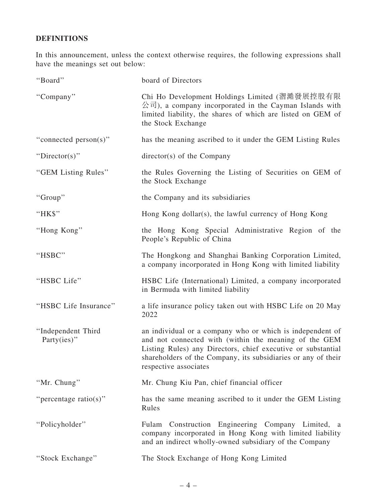## DEFINITIONS

In this announcement, unless the context otherwise requires, the following expressions shall have the meanings set out below:

| "Board"                           | board of Directors                                                                                                                                                                                                                                                           |
|-----------------------------------|------------------------------------------------------------------------------------------------------------------------------------------------------------------------------------------------------------------------------------------------------------------------------|
| "Company"                         | Chi Ho Development Holdings Limited (溜澔發展控股有限<br>公司), a company incorporated in the Cayman Islands with<br>limited liability, the shares of which are listed on GEM of<br>the Stock Exchange                                                                                 |
| "connected person(s)"             | has the meaning ascribed to it under the GEM Listing Rules                                                                                                                                                                                                                   |
| "Director(s)"                     | $directory(s)$ of the Company                                                                                                                                                                                                                                                |
| "GEM Listing Rules"               | the Rules Governing the Listing of Securities on GEM of<br>the Stock Exchange                                                                                                                                                                                                |
| "Group"                           | the Company and its subsidiaries                                                                                                                                                                                                                                             |
| "HK\$"                            | Hong Kong dollar(s), the lawful currency of Hong Kong                                                                                                                                                                                                                        |
| "Hong Kong"                       | the Hong Kong Special Administrative Region of the<br>People's Republic of China                                                                                                                                                                                             |
| "HSBC"                            | The Hongkong and Shanghai Banking Corporation Limited,<br>a company incorporated in Hong Kong with limited liability                                                                                                                                                         |
| "HSBC Life"                       | HSBC Life (International) Limited, a company incorporated<br>in Bermuda with limited liability                                                                                                                                                                               |
| "HSBC Life Insurance"             | a life insurance policy taken out with HSBC Life on 20 May<br>2022                                                                                                                                                                                                           |
| "Independent Third<br>Party(ies)" | an individual or a company who or which is independent of<br>and not connected with (within the meaning of the GEM<br>Listing Rules) any Directors, chief executive or substantial<br>shareholders of the Company, its subsidiaries or any of their<br>respective associates |
| "Mr. Chung"                       | Mr. Chung Kiu Pan, chief financial officer                                                                                                                                                                                                                                   |
| "percentage ratio(s)"             | has the same meaning ascribed to it under the GEM Listing<br>Rules                                                                                                                                                                                                           |
| "Policyholder"                    | Fulam Construction Engineering Company Limited, a<br>company incorporated in Hong Kong with limited liability<br>and an indirect wholly-owned subsidiary of the Company                                                                                                      |
| "Stock Exchange"                  | The Stock Exchange of Hong Kong Limited                                                                                                                                                                                                                                      |